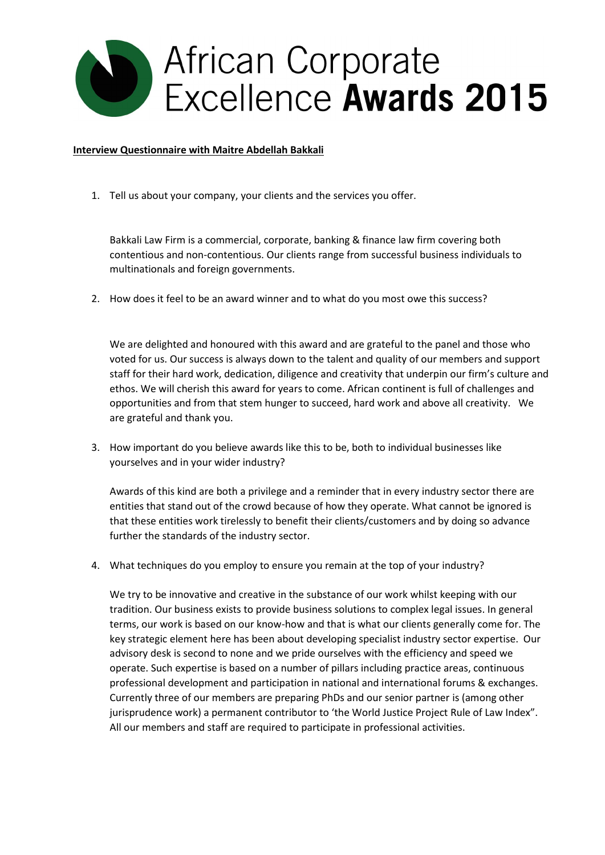

## **Interview Questionnaire with Maitre Abdellah Bakkali**

1. Tell us about your company, your clients and the services you offer.

Bakkali Law Firm is a commercial, corporate, banking & finance law firm covering both contentious and non-contentious. Our clients range from successful business individuals to multinationals and foreign governments.

2. How does it feel to be an award winner and to what do you most owe this success?

We are delighted and honoured with this award and are grateful to the panel and those who voted for us. Our success is always down to the talent and quality of our members and support staff for their hard work, dedication, diligence and creativity that underpin our firm's culture and ethos. We will cherish this award for years to come. African continent is full of challenges and opportunities and from that stem hunger to succeed, hard work and above all creativity. We are grateful and thank you.

3. How important do you believe awards like this to be, both to individual businesses like yourselves and in your wider industry?

Awards of this kind are both a privilege and a reminder that in every industry sector there are entities that stand out of the crowd because of how they operate. What cannot be ignored is that these entities work tirelessly to benefit their clients/customers and by doing so advance further the standards of the industry sector.

4. What techniques do you employ to ensure you remain at the top of your industry?

We try to be innovative and creative in the substance of our work whilst keeping with our tradition. Our business exists to provide business solutions to complex legal issues. In general terms, our work is based on our know-how and that is what our clients generally come for. The key strategic element here has been about developing specialist industry sector expertise. Our advisory desk is second to none and we pride ourselves with the efficiency and speed we operate. Such expertise is based on a number of pillars including practice areas, continuous professional development and participation in national and international forums & exchanges. Currently three of our members are preparing PhDs and our senior partner is (among other jurisprudence work) a permanent contributor to 'the World Justice Project Rule of Law Index". All our members and staff are required to participate in professional activities.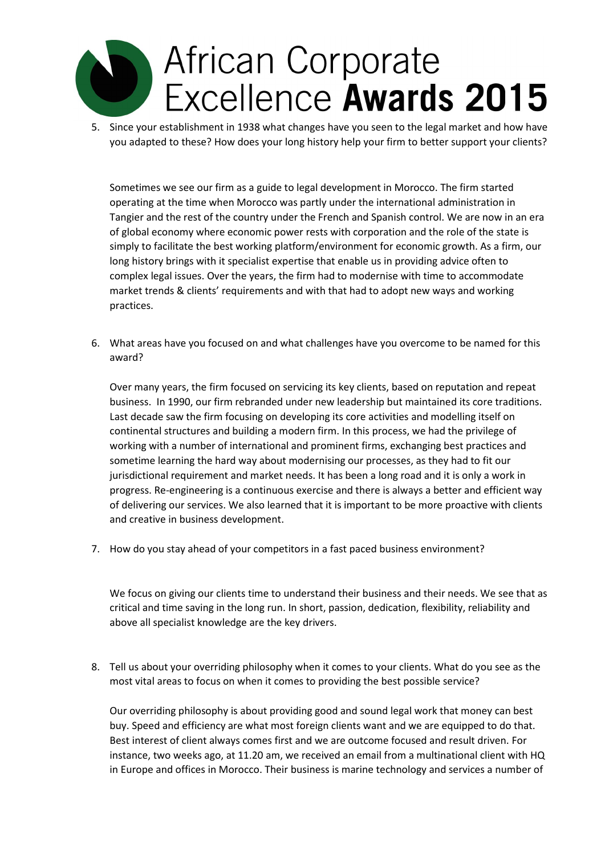## African Corporate Excellence Awards 2015

5. Since your establishment in 1938 what changes have you seen to the legal market and how have you adapted to these? How does your long history help your firm to better support your clients?

Sometimes we see our firm as a guide to legal development in Morocco. The firm started operating at the time when Morocco was partly under the international administration in Tangier and the rest of the country under the French and Spanish control. We are now in an era of global economy where economic power rests with corporation and the role of the state is simply to facilitate the best working platform/environment for economic growth. As a firm, our long history brings with it specialist expertise that enable us in providing advice often to complex legal issues. Over the years, the firm had to modernise with time to accommodate market trends & clients' requirements and with that had to adopt new ways and working practices.

6. What areas have you focused on and what challenges have you overcome to be named for this award?

Over many years, the firm focused on servicing its key clients, based on reputation and repeat business. In 1990, our firm rebranded under new leadership but maintained its core traditions. Last decade saw the firm focusing on developing its core activities and modelling itself on continental structures and building a modern firm. In this process, we had the privilege of working with a number of international and prominent firms, exchanging best practices and sometime learning the hard way about modernising our processes, as they had to fit our jurisdictional requirement and market needs. It has been a long road and it is only a work in progress. Re-engineering is a continuous exercise and there is always a better and efficient way of delivering our services. We also learned that it is important to be more proactive with clients and creative in business development.

7. How do you stay ahead of your competitors in a fast paced business environment?

We focus on giving our clients time to understand their business and their needs. We see that as critical and time saving in the long run. In short, passion, dedication, flexibility, reliability and above all specialist knowledge are the key drivers.

8. Tell us about your overriding philosophy when it comes to your clients. What do you see as the most vital areas to focus on when it comes to providing the best possible service?

Our overriding philosophy is about providing good and sound legal work that money can best buy. Speed and efficiency are what most foreign clients want and we are equipped to do that. Best interest of client always comes first and we are outcome focused and result driven. For instance, two weeks ago, at 11.20 am, we received an email from a multinational client with HQ in Europe and offices in Morocco. Their business is marine technology and services a number of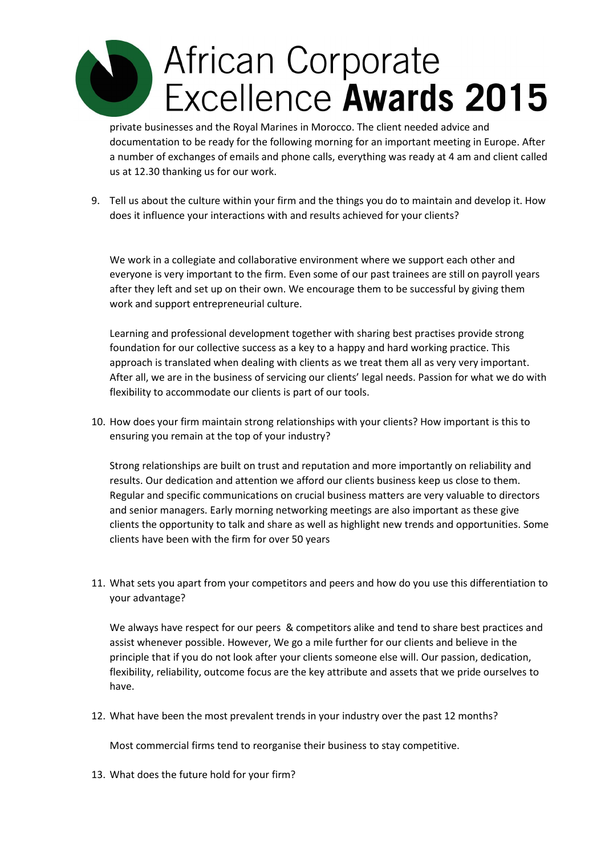## **African Corporate** Excellence Awards 2015

private businesses and the Royal Marines in Morocco. The client needed advice and documentation to be ready for the following morning for an important meeting in Europe. After a number of exchanges of emails and phone calls, everything was ready at 4 am and client called us at 12.30 thanking us for our work.

9. Tell us about the culture within your firm and the things you do to maintain and develop it. How does it influence your interactions with and results achieved for your clients?

We work in a collegiate and collaborative environment where we support each other and everyone is very important to the firm. Even some of our past trainees are still on payroll years after they left and set up on their own. We encourage them to be successful by giving them work and support entrepreneurial culture.

Learning and professional development together with sharing best practises provide strong foundation for our collective success as a key to a happy and hard working practice. This approach is translated when dealing with clients as we treat them all as very very important. After all, we are in the business of servicing our clients' legal needs. Passion for what we do with flexibility to accommodate our clients is part of our tools.

10. How does your firm maintain strong relationships with your clients? How important is this to ensuring you remain at the top of your industry?

Strong relationships are built on trust and reputation and more importantly on reliability and results. Our dedication and attention we afford our clients business keep us close to them. Regular and specific communications on crucial business matters are very valuable to directors and senior managers. Early morning networking meetings are also important as these give clients the opportunity to talk and share as well as highlight new trends and opportunities. Some clients have been with the firm for over 50 years

11. What sets you apart from your competitors and peers and how do you use this differentiation to your advantage?

We always have respect for our peers & competitors alike and tend to share best practices and assist whenever possible. However, We go a mile further for our clients and believe in the principle that if you do not look after your clients someone else will. Our passion, dedication, flexibility, reliability, outcome focus are the key attribute and assets that we pride ourselves to have.

12. What have been the most prevalent trends in your industry over the past 12 months?

Most commercial firms tend to reorganise their business to stay competitive.

13. What does the future hold for your firm?